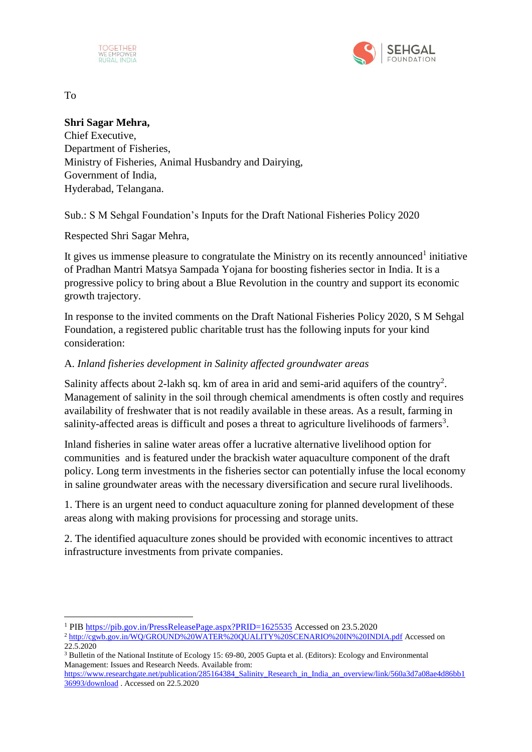



To

1

## **Shri Sagar Mehra,**

Chief Executive, Department of Fisheries, Ministry of Fisheries, Animal Husbandry and Dairying, Government of India, Hyderabad, Telangana.

Sub.: S M Sehgal Foundation's Inputs for the Draft National Fisheries Policy 2020

Respected Shri Sagar Mehra,

It gives us immense pleasure to congratulate the Ministry on its recently announced<sup>1</sup> initiative of Pradhan Mantri Matsya Sampada Yojana for boosting fisheries sector in India. It is a progressive policy to bring about a Blue Revolution in the country and support its economic growth trajectory.

In response to the invited comments on the Draft National Fisheries Policy 2020, S M Sehgal Foundation, a registered public charitable trust has the following inputs for your kind consideration:

# A. *Inland fisheries development in Salinity affected groundwater areas*

Salinity affects about 2-lakh sq. km of area in arid and semi-arid aquifers of the country<sup>2</sup>. Management of salinity in the soil through chemical amendments is often costly and requires availability of freshwater that is not readily available in these areas. As a result, farming in salinity-affected areas is difficult and poses a threat to agriculture livelihoods of farmers<sup>3</sup>.

Inland fisheries in saline water areas offer a lucrative alternative livelihood option for communities and is featured under the brackish water aquaculture component of the draft policy. Long term investments in the fisheries sector can potentially infuse the local economy in saline groundwater areas with the necessary diversification and secure rural livelihoods.

1. There is an urgent need to conduct aquaculture zoning for planned development of these areas along with making provisions for processing and storage units.

2. The identified aquaculture zones should be provided with economic incentives to attract infrastructure investments from private companies.

<sup>&</sup>lt;sup>1</sup> PIB<https://pib.gov.in/PressReleasePage.aspx?PRID=1625535> Accessed on 23.5.2020

<sup>2</sup> <http://cgwb.gov.in/WQ/GROUND%20WATER%20QUALITY%20SCENARIO%20IN%20INDIA.pdf> Accessed on 22.5.2020

<sup>3</sup> Bulletin of the National Institute of Ecology 15: 69-80, 2005 Gupta et al. (Editors): Ecology and Environmental Management: Issues and Research Needs. Available from:

[https://www.researchgate.net/publication/285164384\\_Salinity\\_Research\\_in\\_India\\_an\\_overview/link/560a3d7a08ae4d86bb1](https://www.researchgate.net/publication/285164384_Salinity_Research_in_India_an_overview/link/560a3d7a08ae4d86bb136993/download) [36993/download](https://www.researchgate.net/publication/285164384_Salinity_Research_in_India_an_overview/link/560a3d7a08ae4d86bb136993/download) . Accessed on 22.5.2020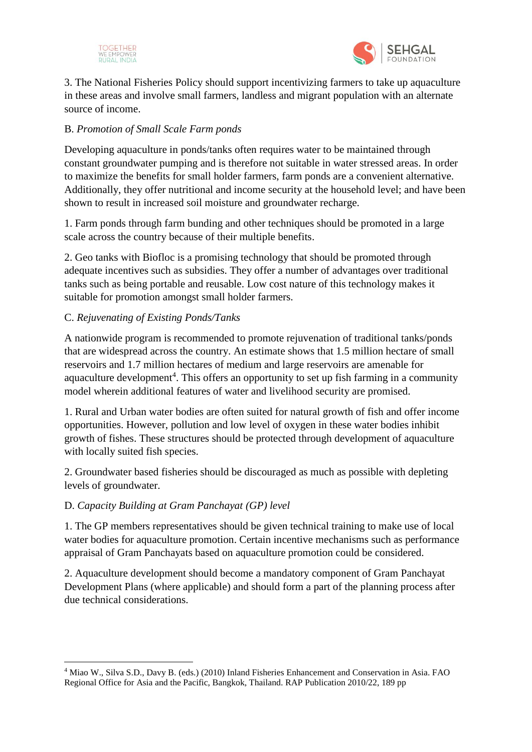



3. The National Fisheries Policy should support incentivizing farmers to take up aquaculture in these areas and involve small farmers, landless and migrant population with an alternate source of income.

# B. *Promotion of Small Scale Farm ponds*

Developing aquaculture in ponds/tanks often requires water to be maintained through constant groundwater pumping and is therefore not suitable in water stressed areas. In order to maximize the benefits for small holder farmers, farm ponds are a convenient alternative. Additionally, they offer nutritional and income security at the household level; and have been shown to result in increased soil moisture and groundwater recharge.

1. Farm ponds through farm bunding and other techniques should be promoted in a large scale across the country because of their multiple benefits.

2. Geo tanks with Biofloc is a promising technology that should be promoted through adequate incentives such as subsidies. They offer a number of advantages over traditional tanks such as being portable and reusable. Low cost nature of this technology makes it suitable for promotion amongst small holder farmers.

# C. *Rejuvenating of Existing Ponds/Tanks*

A nationwide program is recommended to promote rejuvenation of traditional tanks/ponds that are widespread across the country. An estimate shows that 1.5 million hectare of small reservoirs and 1.7 million hectares of medium and large reservoirs are amenable for aquaculture development<sup>4</sup>. This offers an opportunity to set up fish farming in a community model wherein additional features of water and livelihood security are promised.

1. Rural and Urban water bodies are often suited for natural growth of fish and offer income opportunities. However, pollution and low level of oxygen in these water bodies inhibit growth of fishes. These structures should be protected through development of aquaculture with locally suited fish species.

2. Groundwater based fisheries should be discouraged as much as possible with depleting levels of groundwater.

### D. *Capacity Building at Gram Panchayat (GP) level*

1

1. The GP members representatives should be given technical training to make use of local water bodies for aquaculture promotion. Certain incentive mechanisms such as performance appraisal of Gram Panchayats based on aquaculture promotion could be considered.

2. Aquaculture development should become a mandatory component of Gram Panchayat Development Plans (where applicable) and should form a part of the planning process after due technical considerations.

<sup>4</sup> Miao W., Silva S.D., Davy B. (eds.) (2010) Inland Fisheries Enhancement and Conservation in Asia. FAO Regional Office for Asia and the Pacific, Bangkok, Thailand. RAP Publication 2010/22, 189 pp